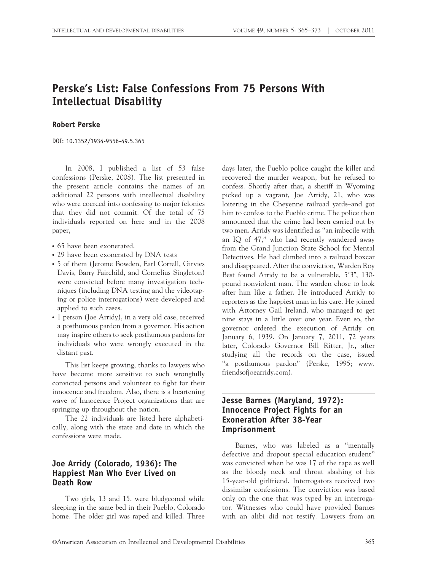# Perske's List: False Confessions From 75 Persons With Intellectual Disability

#### Robert Perske

DOI: 10.1352/1934-9556-49.5.365

In 2008, I published a list of 53 false confessions (Perske, 2008). The list presented in the present article contains the names of an additional 22 persons with intellectual disability who were coerced into confessing to major felonies that they did not commit. Of the total of 75 individuals reported on here and in the 2008 paper,

- 65 have been exonerated.
- 29 have been exonerated by DNA tests
- 5 of them (Jerome Bowden, Earl Correll, Girvies Davis, Barry Fairchild, and Cornelius Singleton) were convicted before many investigation techniques (including DNA testing and the videotaping or police interrogations) were developed and applied to such cases.
- 1 person (Joe Arridy), in a very old case, received a posthumous pardon from a governor. His action may inspire others to seek posthumous pardons for individuals who were wrongly executed in the distant past.

This list keeps growing, thanks to lawyers who have become more sensitive to such wrongfully convicted persons and volunteer to fight for their innocence and freedom. Also, there is a heartening wave of Innocence Project organizations that are springing up throughout the nation.

The 22 individuals are listed here alphabetically, along with the state and date in which the confessions were made.

#### Joe Arridy (Colorado, 1936): The Happiest Man Who Ever Lived on Death Row

Two girls, 13 and 15, were bludgeoned while sleeping in the same bed in their Pueblo, Colorado home. The older girl was raped and killed. Three days later, the Pueblo police caught the killer and recovered the murder weapon, but he refused to confess. Shortly after that, a sheriff in Wyoming picked up a vagrant, Joe Arridy, 21, who was loitering in the Cheyenne railroad yards–and got him to confess to the Pueblo crime. The police then announced that the crime had been carried out by two men. Arridy was identified as ''an imbecile with an IQ of 47,'' who had recently wandered away from the Grand Junction State School for Mental Defectives. He had climbed into a railroad boxcar and disappeared. After the conviction, Warden Roy Best found Arridy to be a vulnerable, 5'3", 130pound nonviolent man. The warden chose to look after him like a father. He introduced Arridy to reporters as the happiest man in his care. He joined with Attorney Gail Ireland, who managed to get nine stays in a little over one year. Even so, the governor ordered the execution of Arridy on January 6, 1939. On January 7, 2011, 72 years later, Colorado Governor Bill Ritter, Jr., after studying all the records on the case, issued "a posthumous pardon" (Perske, 1995; www. friendsofjoearridy.com).

#### Jesse Barnes (Maryland, 1972): Innocence Project Fights for an Exoneration After 38-Year Imprisonment

Barnes, who was labeled as a ''mentally defective and dropout special education student'' was convicted when he was 17 of the rape as well as the bloody neck and throat slashing of his 15-year-old girlfriend. Interrogators received two dissimilar confessions. The conviction was based only on the one that was typed by an interrogator. Witnesses who could have provided Barnes with an alibi did not testify. Lawyers from an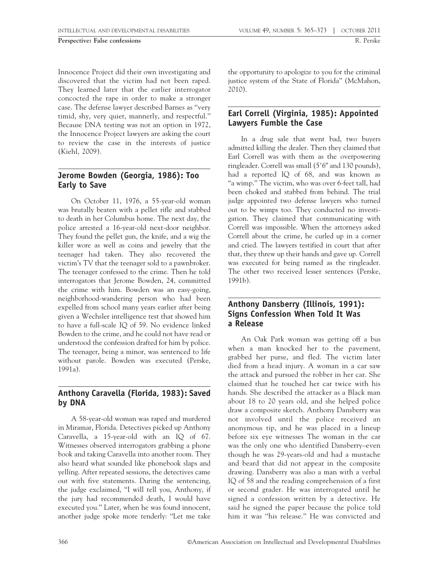Innocence Project did their own investigating and discovered that the victim had not been raped. They learned later that the earlier interrogator concocted the rape in order to make a stronger case. The defense lawyer described Barnes as ''very timid, shy, very quiet, mannerly, and respectful.'' Because DNA testing was not an option in 1972, the Innocence Project lawyers are asking the court to review the case in the interests of justice (Kiehl, 2009).

# Jerome Bowden (Georgia, 1986): Too Early to Save

On October 11, 1976, a 55-year-old woman was brutally beaten with a pellet rifle and stabbed to death in her Columbus home. The next day, the police arrested a 16-year-old next-door neighbor. They found the pellet gun, the knife, and a wig the killer wore as well as coins and jewelry that the teenager had taken. They also recovered the victim's TV that the teenager sold to a pawnbroker. The teenager confessed to the crime. Then he told interrogators that Jerome Bowden, 24, committed the crime with him. Bowden was an easy-going, neighborhood-wandering person who had been expelled from school many years earlier after being given a Wechsler intelligence test that showed him to have a full-scale IQ of 59. No evidence linked Bowden to the crime, and he could not have read or understood the confession drafted for him by police. The teenager, being a minor, was sentenced to life without parole. Bowden was executed (Perske, 1991a).

### Anthony Caravella (Florida, 1983): Saved by DNA

A 58-year-old woman was raped and murdered in Miramar, Florida. Detectives picked up Anthony Caravella, a 15-year-old with an IQ of 67. Witnesses observed interrogators grabbing a phone book and taking Caravella into another room. They also heard what sounded like phonebook slaps and yelling. After repeated sessions, the detectives came out with five statements. During the sentencing, the judge exclaimed, ''I will tell you, Anthony, if the jury had recommended death, I would have executed you.'' Later, when he was found innocent, another judge spoke more tenderly: ''Let me take the opportunity to apologize to you for the criminal justice system of the State of Florida'' (McMahon, 2010).

# Earl Correll (Virginia, 1985): Appointed Lawyers Fumble the Case

In a drug sale that went bad, two buyers admitted killing the dealer. Then they claimed that Earl Correll was with them as the overpowering ringleader. Correll was small  $(5'6'$  and 130 pounds), had a reported IQ of 68, and was known as "a wimp." The victim, who was over 6-feet tall, had been choked and stabbed from behind. The trial judge appointed two defense lawyers who turned out to be wimps too. They conducted no investigation. They claimed that communicating with Correll was impossible. When the attorneys asked Correll about the crime, he curled up in a corner and cried. The lawyers testified in court that after that, they threw up their hands and gave up. Correll was executed for being named as the ringleader. The other two received lesser sentences (Perske, 1991b).

#### Anthony Dansberry (Illinois, 1991): Signs Confession When Told It Was a Release

An Oak Park woman was getting off a bus when a man knocked her to the pavement, grabbed her purse, and fled. The victim later died from a head injury. A woman in a car saw the attack and pursued the robber in her car. She claimed that he touched her car twice with his hands. She described the attacker as a Black man about 18 to 20 years old, and she helped police draw a composite sketch. Anthony Dansberry was not involved until the police received an anonymous tip, and he was placed in a lineup before six eye witnesses The woman in the car was the only one who identified Dansberry–even though he was 29-years-old and had a mustache and beard that did not appear in the composite drawing. Dansberry was also a man with a verbal IQ of 58 and the reading comprehension of a first or second grader. He was interrogated until he signed a confession written by a detective. He said he signed the paper because the police told him it was ''his release.'' He was convicted and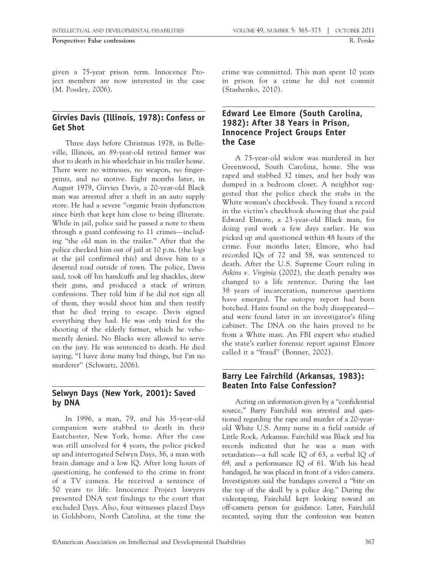given a 75-year prison term. Innocence Project members are now interested in the case (M. Possley, 2006).

#### Girvies Davis (Illinois, 1978): Confess or Get Shot

Three days before Christmas 1978, in Belleville, Illinois, an 89-year-old retired farmer was shot to death in his wheelchair in his trailer home. There were no witnesses, no weapon, no fingerprints, and no motive. Eight months later, in August 1979, Girvies Davis, a 20-year-old Black man was arrested after a theft in an auto supply store. He had a severe ''organic brain dysfunction since birth that kept him close to being illiterate. While in jail, police said he passed a note to them through a guard confessing to 11 crimes—including ''the old man in the trailer.'' After that the police checked him out of jail at 10 p.m. (the logs at the jail confirmed this) and drove him to a deserted road outside of town. The police, Davis said, took off his handcuffs and leg shackles, drew their guns, and produced a stack of written confessions. They told him if he did not sign all of them, they would shoot him and then testify that he died trying to escape. Davis signed everything they had. He was only tried for the shooting of the elderly farmer, which he vehemently denied. No Blacks were allowed to serve on the jury. He was sentenced to death. He died saying, ''I have done many bad things, but I'm no murderer'' (Schwartz, 2006).

### Selwyn Days (New York, 2001): Saved by DNA

In 1996, a man, 79, and his 35-year-old companion were stabbed to death in their Eastchester, New York, home. After the case was still unsolved for 4 years, the police picked up and interrogated Selwyn Days, 36, a man with brain damage and a low IQ. After long hours of questioning, he confessed to the crime in front of a TV camera. He received a sentence of 50 years to life. Innocence Project lawyers presented DNA test findings to the court that excluded Days. Also, four witnesses placed Days in Goldsboro, North Carolina, at the time the

crime was committed. This man spent 10 years in prison for a crime he did not commit (Stashenko, 2010).

#### Edward Lee Elmore (South Carolina, 1982): After 38 Years in Prison, Innocence Project Groups Enter the Case

A 75-year-old widow was murdered in her Greenwood, South Carolina, home. She was raped and stabbed 32 times, and her body was dumped in a bedroom closet. A neighbor suggested that the police check the stubs in the White woman's checkbook. They found a record in the victim's checkbook showing that she paid Edward Elmore, a 23-year-old Black man, for doing yard work a few days earlier. He was picked up and questioned within 48 hours of the crime. Four months later, Elmore, who had recorded IQs of 72 and 58, was sentenced to death. After the U.S. Supreme Court ruling in Atkins  $v$ . Virginia (2002), the death penalty was changed to a life sentence. During the last 38 years of incarceration, numerous questions have emerged. The autopsy report had been botched. Hairs found on the body disappeared and were found later in an investigator's filing cabinet. The DNA on the hairs proved to be from a White man. An FBI expert who studied the state's earlier forensic report against Elmore called it a ''fraud'' (Bonner, 2002).

#### Barry Lee Fairchild (Arkansas, 1983): Beaten Into False Confession?

Acting on information given by a ''confidential source,'' Barry Fairchild was arrested and questioned regarding the rape and murder of a 20-yearold White U.S. Army nurse in a field outside of Little Rock, Arkansas. Fairchild was Black and his records indicated that he was a man with retardation—a full scale IQ of 63, a verbal IQ of 69, and a performance IQ of 61. With his head bandaged, he was placed in front of a video camera. Investigators said the bandages covered a ''bite on the top of the skull by a police dog.'' During the videotaping, Fairchild kept looking toward an off-camera person for guidance. Later, Fairchild recanted, saying that the confession was beaten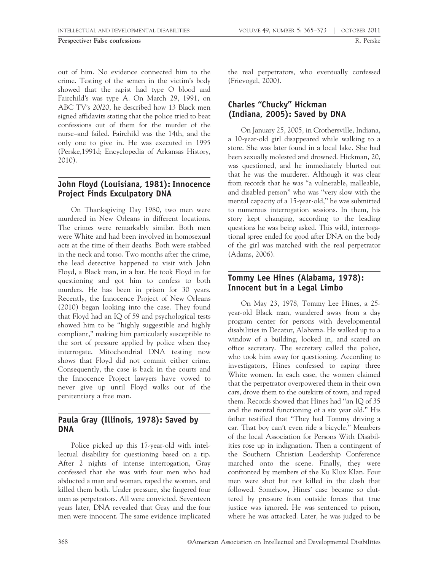out of him. No evidence connected him to the crime. Testing of the semen in the victim's body showed that the rapist had type O blood and Fairchild's was type A. On March 29, 1991, on ABC TV's 20/20, he described how 13 Black men signed affidavits stating that the police tried to beat confessions out of them for the murder of the nurse–and failed. Fairchild was the 14th, and the only one to give in. He was executed in 1995 (Perske,1991d; Encyclopedia of Arkansas History, 2010).

# John Floyd (Louisiana, 1981): Innocence Project Finds Exculpatory DNA

On Thanksgiving Day 1980, two men were murdered in New Orleans in different locations. The crimes were remarkably similar. Both men were White and had been involved in homosexual acts at the time of their deaths. Both were stabbed in the neck and torso. Two months after the crime, the lead detective happened to visit with John Floyd, a Black man, in a bar. He took Floyd in for questioning and got him to confess to both murders. He has been in prison for 30 years. Recently, the Innocence Project of New Orleans (2010) began looking into the case. They found that Floyd had an IQ of 59 and psychological tests showed him to be ''highly suggestible and highly compliant,'' making him particularly susceptible to the sort of pressure applied by police when they interrogate. Mitochondrial DNA testing now shows that Floyd did not commit either crime. Consequently, the case is back in the courts and the Innocence Project lawyers have vowed to never give up until Floyd walks out of the penitentiary a free man.

### Paula Gray (Illinois, 1978): Saved by DNA

Police picked up this 17-year-old with intellectual disability for questioning based on a tip. After 2 nights of intense interrogation, Gray confessed that she was with four men who had abducted a man and woman, raped the woman, and killed them both. Under pressure, she fingered four men as perpetrators. All were convicted. Seventeen years later, DNA revealed that Gray and the four men were innocent. The same evidence implicated the real perpetrators, who eventually confessed (Frievogel, 2000).

# Charles ''Chucky'' Hickman (Indiana, 2005): Saved by DNA

On January 25, 2005, in Crothersville, Indiana, a 10-year-old girl disappeared while walking to a store. She was later found in a local lake. She had been sexually molested and drowned. Hickman, 20, was questioned, and he immediately blurted out that he was the murderer. Although it was clear from records that he was ''a vulnerable, malleable, and disabled person'' who was ''very slow with the mental capacity of a 15-year-old,'' he was submitted to numerous interrogation sessions. In them, his story kept changing, according to the leading questions he was being asked. This wild, interrogational spree ended for good after DNA on the body of the girl was matched with the real perpetrator (Adams, 2006).

# Tommy Lee Hines (Alabama, 1978): Innocent but in a Legal Limbo

On May 23, 1978, Tommy Lee Hines, a 25 year-old Black man, wandered away from a day program center for persons with developmental disabilities in Decatur, Alabama. He walked up to a window of a building, looked in, and scared an office secretary. The secretary called the police, who took him away for questioning. According to investigators, Hines confessed to raping three White women. In each case, the women claimed that the perpetrator overpowered them in their own cars, drove them to the outskirts of town, and raped them. Records showed that Hines had ''an IQ of 35 and the mental functioning of a six year old.'' His father testified that ''They had Tommy driving a car. That boy can't even ride a bicycle.'' Members of the local Association for Persons With Disabilities rose up in indignation. Then a contingent of the Southern Christian Leadership Conference marched onto the scene. Finally, they were confronted by members of the Ku Klux Klan. Four men were shot but not killed in the clash that followed. Somehow, Hines' case became so cluttered by pressure from outside forces that true justice was ignored. He was sentenced to prison, where he was attacked. Later, he was judged to be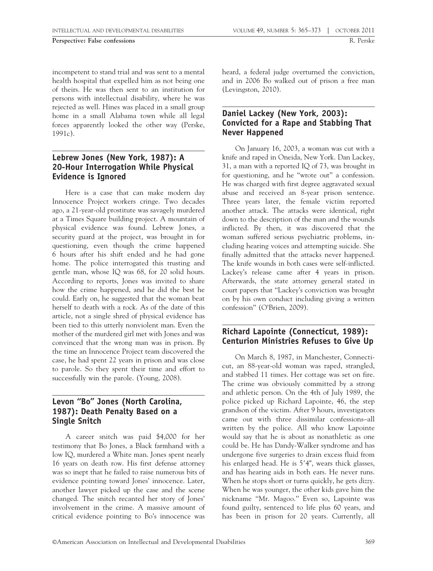incompetent to stand trial and was sent to a mental health hospital that expelled him as not being one of theirs. He was then sent to an institution for persons with intellectual disability, where he was rejected as well. Hines was placed in a small group home in a small Alabama town while all legal forces apparently looked the other way (Perske, 1991c).

#### Lebrew Jones (New York, 1987): A 20-Hour Interrogation While Physical Evidence is Ignored

Here is a case that can make modern day Innocence Project workers cringe. Two decades ago, a 21-year-old prostitute was savagely murdered at a Times Square building project. A mountain of physical evidence was found. Lebrew Jones, a security guard at the project, was brought in for questioning, even though the crime happened 6 hours after his shift ended and he had gone home. The police interrogated this trusting and gentle man, whose IQ was 68, for 20 solid hours. According to reports, Jones was invited to share how the crime happened, and he did the best he could. Early on, he suggested that the woman beat herself to death with a rock. As of the date of this article, not a single shred of physical evidence has been tied to this utterly nonviolent man. Even the mother of the murdered girl met with Jones and was convinced that the wrong man was in prison. By the time an Innocence Project team discovered the case, he had spent 22 years in prison and was close to parole. So they spent their time and effort to successfully win the parole. (Young, 2008).

# Levon ''Bo'' Jones (North Carolina, 1987): Death Penalty Based on a Single Snitch

A career snitch was paid \$4,000 for her testimony that Bo Jones, a Black farmhand with a low IQ, murdered a White man. Jones spent nearly 16 years on death row. His first defense attorney was so inept that he failed to raise numerous bits of evidence pointing toward Jones' innocence. Later, another lawyer picked up the case and the scene changed. The snitch recanted her story of Jones' involvement in the crime. A massive amount of critical evidence pointing to Bo's innocence was

heard, a federal judge overturned the conviction, and in 2006 Bo walked out of prison a free man (Levingston, 2010).

### Daniel Lackey (New York, 2003): Convicted for a Rape and Stabbing That Never Happened

On January 16, 2003, a woman was cut with a knife and raped in Oneida, New York. Dan Lackey, 31, a man with a reported IQ of  $73$ , was brought in for questioning, and he ''wrote out'' a confession. He was charged with first degree aggravated sexual abuse and received an 8-year prison sentence. Three years later, the female victim reported another attack. The attacks were identical, right down to the description of the man and the wounds inflicted. By then, it was discovered that the woman suffered serious psychiatric problems, including hearing voices and attempting suicide. She finally admitted that the attacks never happened. The knife wounds in both cases were self-inflicted. Lackey's release came after 4 years in prison. Afterwards, the state attorney general stated in court papers that ''Lackey's conviction was brought on by his own conduct including giving a written confession'' (O'Brien, 2009).

### Richard Lapointe (Connecticut, 1989): Centurion Ministries Refuses to Give Up

On March 8, 1987, in Manchester, Connecticut, an 88-year-old woman was raped, strangled, and stabbed 11 times. Her cottage was set on fire. The crime was obviously committed by a strong and athletic person. On the 4th of July 1989, the police picked up Richard Lapointe, 46, the step grandson of the victim. After 9 hours, investigators came out with three dissimilar confessions–all written by the police. All who know Lapointe would say that he is about as nonathletic as one could be. He has Dandy-Walker syndrome and has undergone five surgeries to drain excess fluid from his enlarged head. He is  $5'4''$ , wears thick glasses, and has hearing aids in both ears. He never runs. When he stops short or turns quickly, he gets dizzy. When he was younger, the other kids gave him the nickname ''Mr. Magoo.'' Even so, Lapointe was found guilty, sentenced to life plus 60 years, and has been in prison for 20 years. Currently, all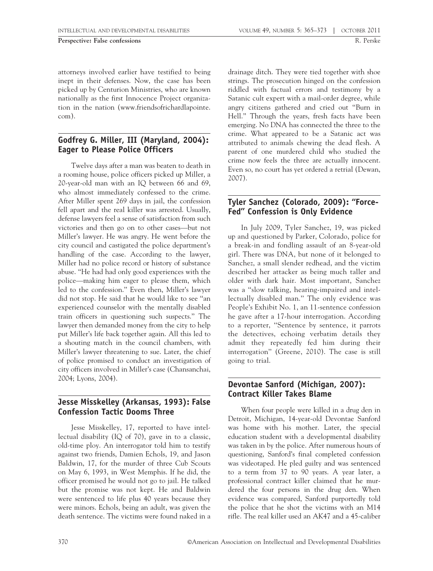attorneys involved earlier have testified to being inept in their defenses. Now, the case has been picked up by Centurion Ministries, who are known nationally as the first Innocence Project organization in the nation (www.friendsofrichardlapointe. com).

# Godfrey G. Miller, III (Maryland, 2004): Eager to Please Police Officers

Twelve days after a man was beaten to death in a rooming house, police officers picked up Miller, a 20-year-old man with an IQ between 66 and 69, who almost immediately confessed to the crime. After Miller spent 269 days in jail, the confession fell apart and the real killer was arrested. Usually, defense lawyers feel a sense of satisfaction from such victories and then go on to other cases—but not Miller's lawyer. He was angry. He went before the city council and castigated the police department's handling of the case. According to the lawyer, Miller had no police record or history of substance abuse. ''He had had only good experiences with the police—making him eager to please them, which led to the confession.'' Even then, Miller's lawyer did not stop. He said that he would like to see ''an experienced counselor with the mentally disabled train officers in questioning such suspects.'' The lawyer then demanded money from the city to help put Miller's life back together again. All this led to a shouting match in the council chambers, with Miller's lawyer threatening to sue. Later, the chief of police promised to conduct an investigation of city officers involved in Miller's case (Chansanchai, 2004; Lyons, 2004).

# Jesse Misskelley (Arkansas, 1993): False Confession Tactic Dooms Three

Jesse Misskelley, 17, reported to have intellectual disability (IQ of 70), gave in to a classic, old-time ploy. An interrogator told him to testify against two friends, Damien Echols, 19, and Jason Baldwin, 17, for the murder of three Cub Scouts on May 6, 1993, in West Memphis. If he did, the officer promised he would not go to jail. He talked but the promise was not kept. He and Baldwin were sentenced to life plus 40 years because they were minors. Echols, being an adult, was given the death sentence. The victims were found naked in a drainage ditch. They were tied together with shoe strings. The prosecution hinged on the confession riddled with factual errors and testimony by a Satanic cult expert with a mail-order degree, while angry citizens gathered and cried out ''Burn in Hell.'' Through the years, fresh facts have been emerging. No DNA has connected the three to the crime. What appeared to be a Satanic act was attributed to animals chewing the dead flesh. A parent of one murdered child who studied the crime now feels the three are actually innocent. Even so, no court has yet ordered a retrial (Dewan, 2007).

### Tyler Sanchez (Colorado, 2009): ''Force-Fed'' Confession is Only Evidence

In July 2009, Tyler Sanchez, 19, was picked up and questioned by Parker, Colorado, police for a break-in and fondling assault of an 8-year-old girl. There was DNA, but none of it belonged to Sanchez, a small slender redhead, and the victim described her attacker as being much taller and older with dark hair. Most important, Sanchez was a ''slow talking, hearing-impaired and intellectually disabled man.'' The only evidence was People's Exhibit No. 1, an 11-sentence confession he gave after a 17-hour interrogation. According to a reporter, ''Sentence by sentence, it parrots the detectives, echoing verbatim details they admit they repeatedly fed him during their interrogation'' (Greene, 2010). The case is still going to trial.

### Devontae Sanford (Michigan, 2007): Contract Killer Takes Blame

When four people were killed in a drug den in Detroit, Michigan, 14-year-old Devontae Sanford was home with his mother. Later, the special education student with a developmental disability was taken in by the police. After numerous hours of questioning, Sanford's final completed confession was videotaped. He pled guilty and was sentenced to a term from 37 to 90 years. A year later, a professional contract killer claimed that he murdered the four persons in the drug den. When evidence was compared, Sanford purportedly told the police that he shot the victims with an M14 rifle. The real killer used an AK47 and a 45-caliber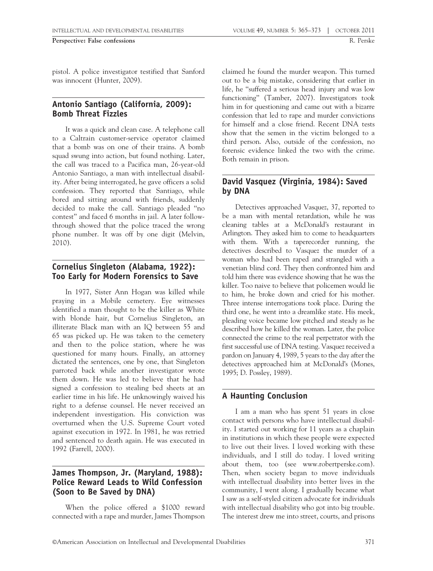pistol. A police investigator testified that Sanford was innocent (Hunter, 2009).

#### Antonio Santiago (California, 2009): Bomb Threat Fizzles

It was a quick and clean case. A telephone call to a Caltrain customer-service operator claimed that a bomb was on one of their trains. A bomb squad swung into action, but found nothing. Later, the call was traced to a Pacifica man, 26-year-old Antonio Santiago, a man with intellectual disability. After being interrogated, he gave officers a solid confession. They reported that Santiago, while bored and sitting around with friends, suddenly decided to make the call. Santiago pleaded ''no contest'' and faced 6 months in jail. A later followthrough showed that the police traced the wrong phone number. It was off by one digit (Melvin, 2010).

### Cornelius Singleton (Alabama, 1922): Too Early for Modern Forensics to Save

In 1977, Sister Ann Hogan was killed while praying in a Mobile cemetery. Eye witnesses identified a man thought to be the killer as White with blonde hair, but Cornelius Singleton, an illiterate Black man with an IQ between 55 and 65 was picked up. He was taken to the cemetery and then to the police station, where he was questioned for many hours. Finally, an attorney dictated the sentences, one by one, that Singleton parroted back while another investigator wrote them down. He was led to believe that he had signed a confession to stealing bed sheets at an earlier time in his life. He unknowingly waived his right to a defense counsel. He never received an independent investigation. His conviction was overturned when the U.S. Supreme Court voted against execution in 1972. In 1981, he was retried and sentenced to death again. He was executed in 1992 (Farrell, 2000).

#### James Thompson, Jr. (Maryland, 1988): Police Reward Leads to Wild Confession (Soon to Be Saved by DNA)

When the police offered a \$1000 reward connected with a rape and murder, James Thompson claimed he found the murder weapon. This turned out to be a big mistake, considering that earlier in life, he ''suffered a serious head injury and was low functioning'' (Tamber, 2007). Investigators took him in for questioning and came out with a bizarre confession that led to rape and murder convictions for himself and a close friend. Recent DNA tests show that the semen in the victim belonged to a third person. Also, outside of the confession, no forensic evidence linked the two with the crime. Both remain in prison.

# David Vasquez (Virginia, 1984): Saved by DNA

Detectives approached Vasquez, 37, reported to be a man with mental retardation, while he was cleaning tables at a McDonald's restaurant in Arlington. They asked him to come to headquarters with them. With a taperecorder running, the detectives described to Vasquez the murder of a woman who had been raped and strangled with a venetian blind cord. They then confronted him and told him there was evidence showing that he was the killer. Too naive to believe that policemen would lie to him, he broke down and cried for his mother. Three intense interrogations took place. During the third one, he went into a dreamlike state. His meek, pleading voice became low pitched and steady as he described how he killed the woman. Later, the police connected the crime to the real perpetrator with the first successful use of DNA testing. Vasquez received a pardon on January 4, 1989, 5 years to the day after the detectives approached him at McDonald's (Mones, 1995; D. Possley, 1989).

# A Haunting Conclusion

I am a man who has spent 51 years in close contact with persons who have intellectual disability. I started out working for 11 years as a chaplain in institutions in which these people were expected to live out their lives. I loved working with these individuals, and I still do today. I loved writing about them, too (see www.robertperske.com). Then, when society began to move individuals with intellectual disability into better lives in the community, I went along. I gradually became what I saw as a self-styled citizen advocate for individuals with intellectual disability who got into big trouble. The interest drew me into street, courts, and prisons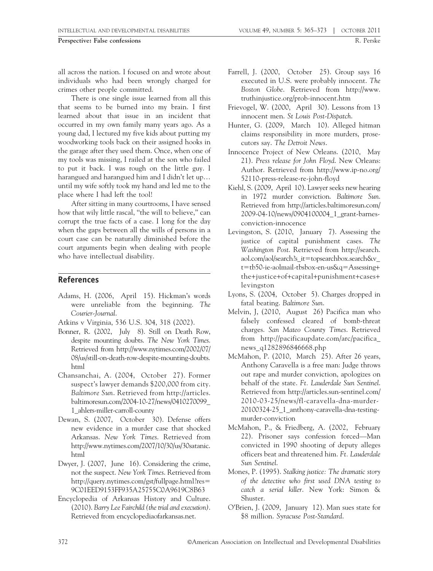Perspective: False confessions R. Perske

all across the nation. I focused on and wrote about individuals who had been wrongly charged for crimes other people committed.

There is one single issue learned from all this that seems to be burned into my brain. I first learned about that issue in an incident that occurred in my own family many years ago. As a young dad, I lectured my five kids about putting my woodworking tools back on their assigned hooks in the garage after they used them. Once, when one of my tools was missing, I railed at the son who failed to put it back. I was rough on the little guy. I harangued and harangued him and I didn't let up… until my wife softly took my hand and led me to the place where I had left the tool!

After sitting in many courtrooms, I have sensed how that wily little rascal, "the will to believe," can corrupt the true facts of a case. I long for the day when the gaps between all the wills of persons in a court case can be naturally diminished before the court arguments begin when dealing with people who have intellectual disability.

#### References

- Adams, H. (2006, April 15). Hickman's words were unreliable from the beginning. The Courier-Journal.
- Atkins v Virginia, 536 U.S. 304, 318 (2002).
- Bonner, R. (2002, July 8). Still on Death Row, despite mounting doubts. The New York Times. Retrieved from http://www.nytimes.com/2002/07/ 08/us/still-on-death-row-despite-mounting-doubts. html
- Chansanchai, A. (2004, October 27). Former suspect's lawyer demands \$200,000 from city. Baltimore Sun. Retrieved from http://articles. baltimoresun.com/2004-10-27/news/0410270099\_ 1\_ahlers-miller-carroll-county
- Dewan, S. (2007, October 30). Defense offers new evidence in a murder case that shocked Arkansas. New York Times. Retrieved from http://www.nytimes.com/2007/10/30/us/30satanic. html
- Dwyer, J. (2007, June 16). Considering the crime, not the suspect. New York Times. Retrieved from http://query.nytimes.com/gst/fullpage.html?res5 9C01EED9153FF935A25755C0A9619C8B63
- Encyclopedia of Arkansas History and Culture. (2010). Barry Lee Fairchild (the trial and execution). Retrieved from encyclopediaofarkansas.net.
- Farrell, J. (2000, October 25). Group says 16 executed in U.S. were probably innocent. The Boston Globe. Retrieved from http://www. truthinjustice.org/prob-innocent.htm
- Frievogel, W. (2000, April 30). Lessons from 13 innocent men. St Louis Post-Dispatch.
- Hunter, G. (2009, March 10). Alleged hitman claims responsibility in more murders, prosecutors say. The Detroit News.
- Innocence Project of New Orleans. (2010, May 21). Press release for John Floyd. New Orleans: Author. Retrieved from http://www.ip-no.org/ 52110-press-release-re-john-floyd
- Kiehl, S. (2009, April 10). Lawyer seeks new hearing in 1972 murder conviction. Baltimore Sun. Retrieved from http://articles.baltimoresun.com/ 2009-04-10/news/0904100004\_1\_grant-barnesconviction-innocence
- Levingston, S. (2010, January 7). Assessing the justice of capital punishment cases. The Washington Post. Retrieved from http://search. aol.com/aol/search?s\_it5topsearchbox.search&v\_ t=tb50-ie-aolmail-tbsbox-en-us&q=Assessing+ the+justice+of+capital+punishment+cases+ levingston
- Lyons, S. (2004, October 5). Charges dropped in fatal beating. Baltimore Sun.
- Melvin, J, (2010, August 26) Pacifica man who falsely confessed cleared of bomb-threat charges. San Mateo County Times. Retrieved from http://pacificaupdate.com/arc/pacifica\_ news\_q1282896846668.php
- McMahon, P. (2010, March 25). After 26 years, Anthony Caravella is a free man: Judge throws out rape and murder conviction, apologizes on behalf of the state. Ft. Lauderdale Sun Sentinel. Retrieved from http://articles.sun-sentinel.com/ 2010-03-25/news/fl-caravella-dna-murder-20100324-25\_1\_anthony-caravella-dna-testingmurder-conviction
- McMahon, P., & Friedberg, A. (2002, February 22). Prisoner says confession forced—Man convicted in 1990 shooting of deputy alleges officers beat and threatened him. Ft. Lauderdale Sun Sentinel.
- Mones, P. (1995). Stalking justice: The dramatic story of the detective who first used DNA testing to catch a serial killer. New York: Simon & Shuster.
- O'Brien, J. (2009, January 12). Man sues state for \$8 million. Syracuse Post-Standard.